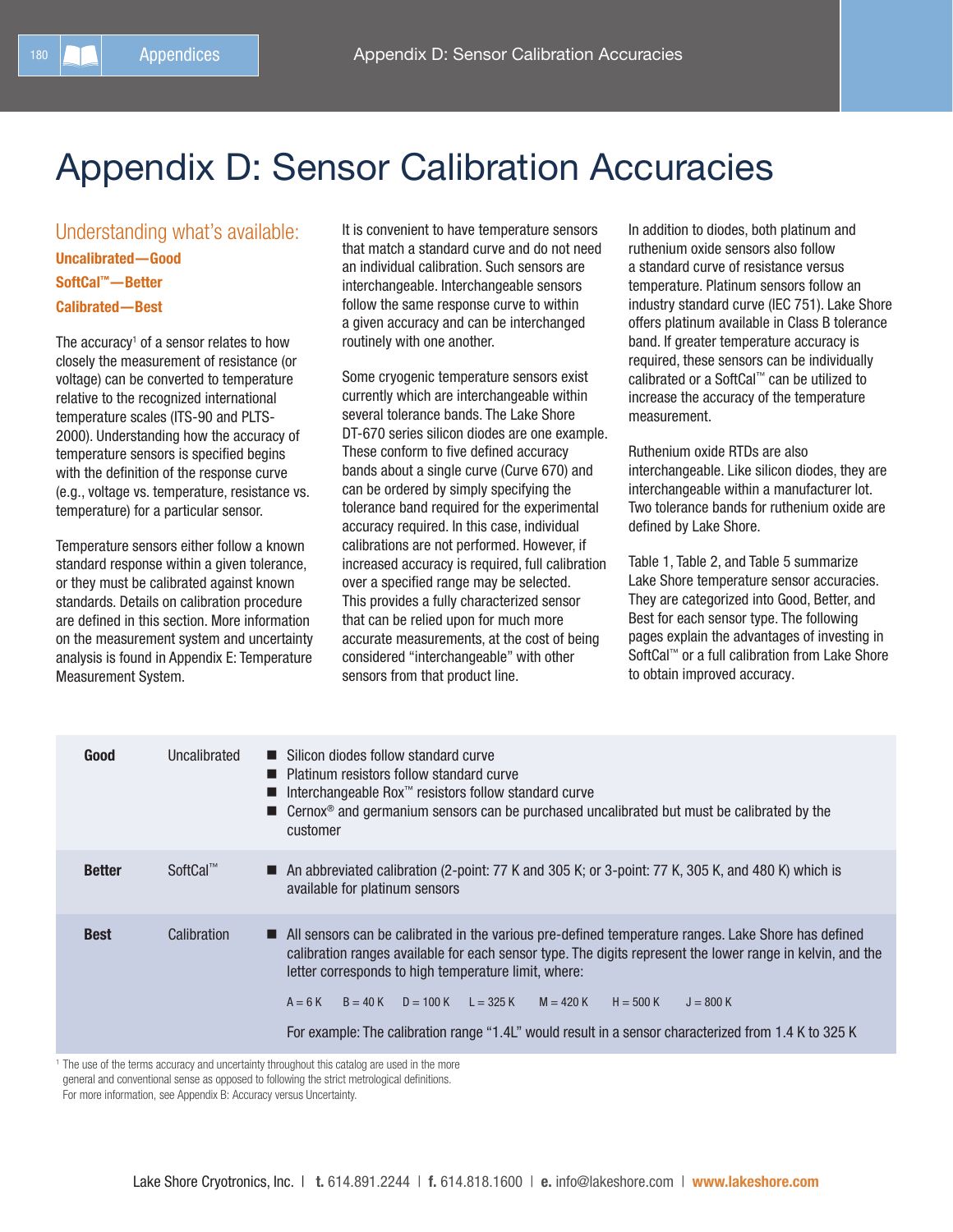# Appendix D: Sensor Calibration Accuracies

Understanding what's available: Uncalibrated—Good SoftCal™—Better Calibrated—Best

The accuracy<sup>1</sup> of a sensor relates to how closely the measurement of resistance (or voltage) can be converted to temperature relative to the recognized international temperature scales (ITS‑90 and PLTS-2000). Understanding how the accuracy of temperature sensors is specified begins with the definition of the response curve (e.g., voltage vs. temperature, resistance vs. temperature) for a particular sensor.

Temperature sensors either follow a known standard response within a given tolerance, or they must be calibrated against known standards. Details on calibration procedure are defined in this section. More information on the measurement system and uncertainty analysis is found in Appendix E: Temperature Measurement System.

It is convenient to have temperature sensors that match a standard curve and do not need an individual calibration. Such sensors are interchangeable. Interchangeable sensors follow the same response curve to within a given accuracy and can be interchanged routinely with one another.

Some cryogenic temperature sensors exist currently which are interchangeable within several tolerance bands. The Lake Shore DT-670 series silicon diodes are one example. These conform to five defined accuracy bands about a single curve (Curve 670) and can be ordered by simply specifying the tolerance band required for the experimental accuracy required. In this case, individual calibrations are not performed. However, if increased accuracy is required, full calibration over a specified range may be selected. This provides a fully characterized sensor that can be relied upon for much more accurate measurements, at the cost of being considered "interchangeable" with other sensors from that product line.

In addition to diodes, both platinum and ruthenium oxide sensors also follow a standard curve of resistance versus temperature. Platinum sensors follow an industry standard curve (IEC 751). Lake Shore offers platinum available in Class B tolerance band. If greater temperature accuracy is required, these sensors can be individually calibrated or a SoftCal™ can be utilized to increase the accuracy of the temperature measurement.

Ruthenium oxide RTDs are also interchangeable. Like silicon diodes, they are interchangeable within a manufacturer lot. Two tolerance bands for ruthenium oxide are defined by Lake Shore.

Table 1, Table 2, and Table 5 summarize Lake Shore temperature sensor accuracies. They are categorized into Good, Better, and Best for each sensor type. The following pages explain the advantages of investing in SoftCal™ or a full calibration from Lake Shore to obtain improved accuracy.

| Good          | Uncalibrated | ■ Silicon diodes follow standard curve<br>■ Platinum resistors follow standard curve<br>Interchangeable Rox™ resistors follow standard curve<br>■ Cernox <sup>®</sup> and germanium sensors can be purchased uncalibrated but must be calibrated by the<br>customer                                                                                                                                                                                                           |
|---------------|--------------|-------------------------------------------------------------------------------------------------------------------------------------------------------------------------------------------------------------------------------------------------------------------------------------------------------------------------------------------------------------------------------------------------------------------------------------------------------------------------------|
| <b>Better</b> | SoftCal™     | An abbreviated calibration (2-point: 77 K and 305 K; or 3-point: 77 K, 305 K, and 480 K) which is<br>available for platinum sensors                                                                                                                                                                                                                                                                                                                                           |
| <b>Best</b>   | Calibration  | All sensors can be calibrated in the various pre-defined temperature ranges. Lake Shore has defined<br>calibration ranges available for each sensor type. The digits represent the lower range in kelvin, and the<br>letter corresponds to high temperature limit, where:<br>$A = 6K$<br>$B = 40 K$ $D = 100 K$ $L = 325 K$ $M = 420 K$<br>$J = 800 K$<br>$H = 500 K$<br>For example: The calibration range "1.4L" would result in a sensor characterized from 1.4 K to 325 K |

<sup>1</sup> The use of the terms accuracy and uncertainty throughout this catalog are used in the more

general and conventional sense as opposed to following the strict metrological definitions.

For more information, see Appendix B: Accuracy versus Uncertainty.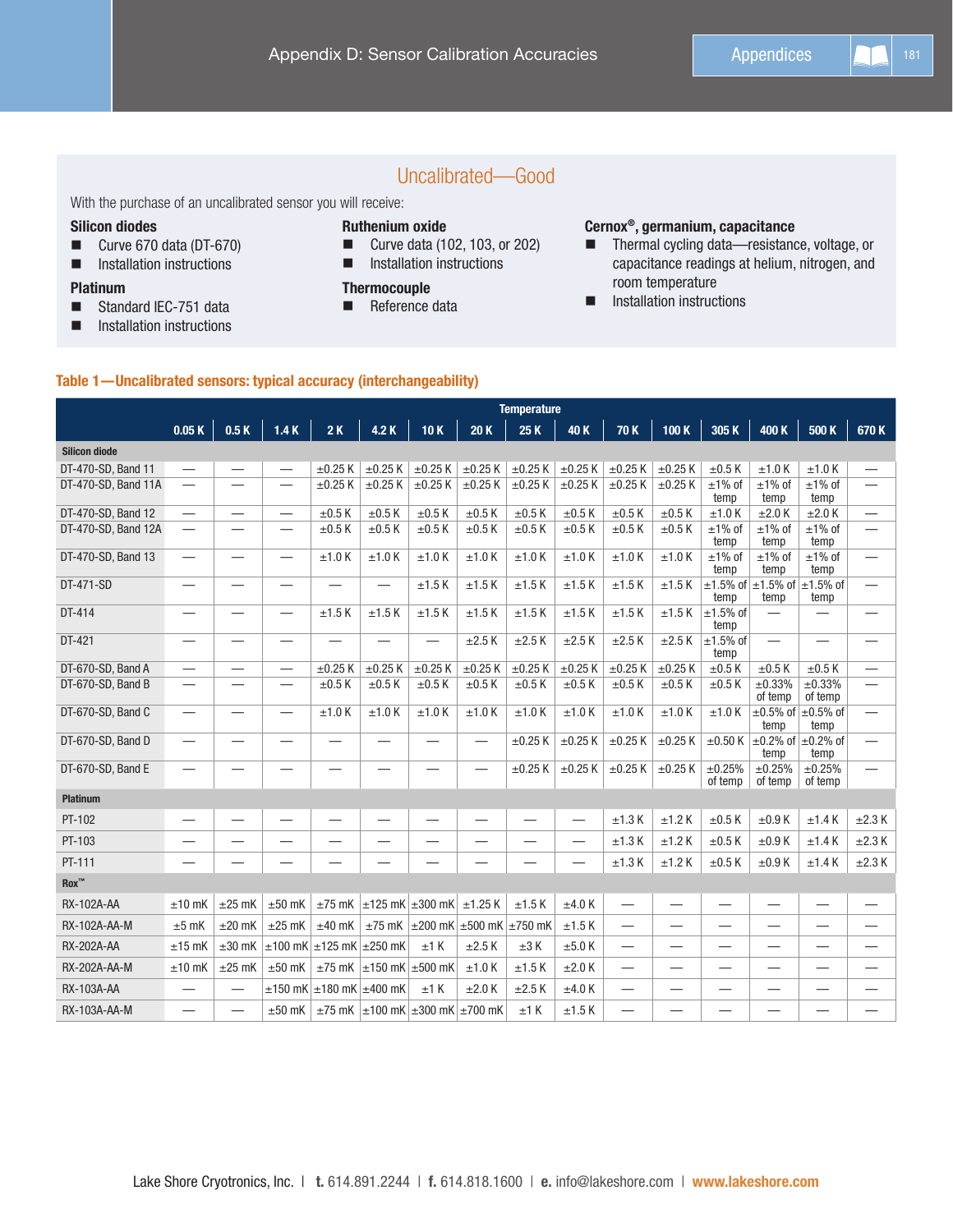# Uncalibrated—Good

With the purchase of an uncalibrated sensor you will receive:

#### Silicon diodes

- Curve 670 data (DT-670)
- **Installation instructions**

#### Platinum

- Standard IEC-751 data
- **Installation instructions**

## Ruthenium oxide

- Curve data (102, 103, or 202)
- **Installation instructions**

#### **Thermocouple**

**Reference data** 

#### Cernox®, germanium, capacitance

- Thermal cycling data-resistance, voltage, or capacitance readings at helium, nitrogen, and room temperature
- **Installation instructions**

#### Table 1—Uncalibrated sensors: typical accuracy (interchangeability)

|                          | <b>Temperature</b>            |                          |                                        |                                        |                                                    |                          |                                                    |                          |                                |                          |                          |                               |                                                    |                               |                          |
|--------------------------|-------------------------------|--------------------------|----------------------------------------|----------------------------------------|----------------------------------------------------|--------------------------|----------------------------------------------------|--------------------------|--------------------------------|--------------------------|--------------------------|-------------------------------|----------------------------------------------------|-------------------------------|--------------------------|
|                          | 0.05K                         | 0.5K                     | 1.4K                                   | 2K                                     | 4.2 K                                              | 10K                      | 20K                                                | 25 K                     | 40 K                           | 70 K                     | 100 K                    | 305K                          | 400 K                                              | 500 K                         | 670K                     |
| <b>Silicon diode</b>     |                               |                          |                                        |                                        |                                                    |                          |                                                    |                          |                                |                          |                          |                               |                                                    |                               |                          |
| DT-470-SD, Band 11       | $\overline{\phantom{0}}$      |                          | $\overline{\phantom{0}}$               | $\pm 0.25$ K                           | $\pm 0.25$ K                                       | $\pm 0.25$ K             | $\pm 0.25$ K                                       | $\pm 0.25$ K             | $\pm 0.25$ K                   | $\pm 0.25$ K             | $\pm 0.25$ K             | $\pm 0.5$ K                   | ±1.0K                                              | $±1.0$ K                      |                          |
| DT-470-SD, Band 11A      |                               |                          | $\overline{\phantom{0}}$               | $\pm 0.25$ K                           | $\pm 0.25$ K                                       | $\pm 0.25$ K             | $\pm 0.25$ K                                       | $\pm 0.25$ K             | $\pm 0.25$ K                   | $\pm 0.25$ K             | $\pm 0.25$ K             | $±1\%$ of<br>temp             | $±1\%$ of<br>temp                                  | $±1\%$ of<br>temp             | $\overline{\phantom{0}}$ |
| DT-470-SD, Band 12       | $\overbrace{\phantom{13333}}$ | —                        | $\qquad \qquad -$                      | $\pm 0.5$ K                            | $\pm 0.5$ K                                        | $\pm 0.5$ K              | $\pm 0.5$ K                                        | $\pm 0.5$ K              | $\pm 0.5$ K                    | $\pm 0.5$ K              | $\pm 0.5$ K              | ±1.0K                         | ±2.0 K                                             | ±2.0 K                        |                          |
| DT-470-SD, Band 12A      | $\overline{\phantom{0}}$      |                          | $\overline{\phantom{0}}$               | $\pm 0.5$ K                            | $\pm 0.5$ K                                        | $\pm 0.5$ K              | $\pm 0.5$ K                                        | $\pm 0.5$ K              | $\pm 0.5$ K                    | $\pm 0.5$ K              | $\pm 0.5$ K              | $±1\%$ of<br>temp             | $±1\%$ of<br>temp                                  | $±1\%$ of<br>temp             | $\overline{\phantom{0}}$ |
| DT-470-SD, Band 13       | $\overline{\phantom{0}}$      | —                        | $\overline{\phantom{0}}$               | ±1.0K                                  | ±1.0 K                                             | ±1.0K                    | ±1.0K                                              | $±1.0$ K                 | ±1.0 K                         | $±1.0$ K                 | ±1.0 K                   | $±1\%$ of<br>temp             | $±1\%$ of<br>temp                                  | $±1\%$ of<br>temp             | $\overline{\phantom{0}}$ |
| DT-471-SD                |                               |                          | —                                      |                                        |                                                    | $±1.5$ K                 | ±1.5K                                              | $±1.5$ K                 | ±1.5K                          | $±1.5$ K                 | ±1.5K                    | temp                          | $\pm$ 1.5% of $\pm$ 1.5% of<br>temp                | $\pm$ 1.5% of<br>temp         | —                        |
| DT-414                   |                               | $\overline{\phantom{0}}$ | $\overline{\phantom{0}}$               | ±1.5K                                  | $±1.5$ K                                           | $±1.5$ K                 | ±1.5K                                              | $±1.5$ K                 | ±1.5K                          | ±1.5K                    | ±1.5K                    | $±1.5%$ of<br>temp            | $\overline{\phantom{0}}$                           |                               | $\overline{\phantom{0}}$ |
| DT-421                   |                               | $\overline{\phantom{0}}$ |                                        |                                        |                                                    |                          | $\pm 2.5$ K                                        | $\pm 2.5$ K              | $\pm 2.5$ K                    | $\pm 2.5$ K              | $\pm 2.5$ K              | $±1.5%$ of<br>temp            |                                                    |                               | $\overline{\phantom{0}}$ |
| DT-670-SD, Band A        |                               | $\overline{\phantom{0}}$ | $\overline{\phantom{0}}$               | $\pm 0.25$ K                           | $\pm 0.25$ K                                       | $\pm 0.25$ K             | $\pm 0.25$ K                                       | $\pm 0.25$ K             | $\pm 0.25$ K                   | $\pm 0.25$ K             | $\pm 0.25$ K             | $\pm 0.5$ K                   | $\pm 0.5$ K                                        | $\pm 0.5$ K                   | $\overline{\phantom{0}}$ |
| DT-670-SD, Band B        |                               |                          | $\overline{\phantom{0}}$               | $\pm 0.5$ K                            | $\pm 0.5$ K                                        | $\pm 0.5$ K              | $\pm 0.5$ K                                        | $\pm 0.5$ K              | $\pm 0.5$ K                    | $\pm 0.5$ K              | $\pm 0.5$ K              | $\pm 0.5$ K                   | ±0.33%<br>of temp                                  | ±0.33%<br>of temp             | —                        |
| DT-670-SD, Band C        |                               | $\overline{\phantom{0}}$ |                                        | ±1.0K                                  | ±1.0K                                              | $±1.0$ K                 | $±1.0$ K                                           | $±1.0$ K                 | ±1.0K                          | ±1.0K                    | $±1.0$ K                 | $±1.0$ K                      | $\pm 0.5\%$ of<br>temp                             | $\pm 0.5\%$ of<br>temp        |                          |
| DT-670-SD, Band D        |                               |                          | -                                      |                                        |                                                    |                          | $\overline{\phantom{0}}$                           | $\pm 0.25$ K             | $\pm 0.25$ K                   | $\pm 0.25$ K             | $\pm 0.25$ K             |                               | $\pm 0.50$ K $\pm 0.2\%$ of $\pm 0.2\%$ of<br>temp | temp                          | $\overline{\phantom{0}}$ |
| DT-670-SD, Band E        |                               |                          |                                        |                                        |                                                    |                          |                                                    | $\pm 0.25$ K             | $\pm 0.25$ K                   | $\pm 0.25$ K             | $\pm 0.25$ K             | ±0.25%<br>of temp             | ±0.25%<br>of temp                                  | ±0.25%<br>of temp             | $\overline{\phantom{0}}$ |
| <b>Platinum</b>          |                               |                          |                                        |                                        |                                                    |                          |                                                    |                          |                                |                          |                          |                               |                                                    |                               |                          |
| PT-102                   | $\overline{\phantom{m}}$      | $\overline{\phantom{0}}$ | $\overline{\phantom{0}}$               |                                        |                                                    | $\overline{\phantom{0}}$ | —                                                  | $\overline{\phantom{0}}$ | $\qquad \qquad \longleftarrow$ | ±1.3 K                   | $±1.2$ K                 | $\pm 0.5$ K                   | $\pm 0.9$ K                                        | ±1.4K                         | $\pm 2.3$ K              |
| PT-103                   |                               |                          |                                        |                                        |                                                    |                          |                                                    | -                        | $\overline{\phantom{0}}$       | ±1.3 K                   | $±1.2$ K                 | $\pm 0.5$ K                   | $\pm 0.9$ K                                        | ±1.4K                         | $\pm 2.3$ K              |
| PT-111                   |                               |                          |                                        |                                        |                                                    |                          |                                                    | -                        | $\overline{\phantom{0}}$       | ±1.3 K                   | $±1.2$ K                 | $\pm 0.5$ K                   | $\pm 0.9$ K                                        | ±1.4K                         | $\pm 2.3$ K              |
| $\text{Rox}^{\text{TM}}$ |                               |                          |                                        |                                        |                                                    |                          |                                                    |                          |                                |                          |                          |                               |                                                    |                               |                          |
| <b>RX-102A-AA</b>        | $±10$ mK                      | $±25$ mK                 | $±50$ mK                               | $\pm 75$ mK                            | $\pm$ 125 mK $\pm$ 300 mK                          |                          | $±1.25$ K                                          | ±1.5K                    | ±4.0 K                         | $\overline{\phantom{0}}$ | $\overline{\phantom{0}}$ | $\overline{\phantom{0}}$      | $\overline{\phantom{0}}$                           | $\overline{\phantom{0}}$      | $\overline{\phantom{0}}$ |
| RX-102A-AA-M             | $±5$ mK                       | $±20$ mK                 | $±25$ mK                               | $\pm 40$ mK                            |                                                    |                          | $\pm$ 75 mK $\pm$ 200 mK $\pm$ 500 mK $\pm$ 750 mK |                          | ±1.5K                          | —                        | $\overline{\phantom{0}}$ | $\overline{\phantom{0}}$      | —                                                  | $\overline{\phantom{0}}$      |                          |
| <b>RX-202A-AA</b>        | $±15$ mK                      | $±30$ mK                 | $\pm$ 100 mK $\pm$ 125 mK $\pm$ 250 mK |                                        |                                                    | $±1$ K                   | $\pm 2.5$ K                                        | $\pm 3$ K                | ±5.0K                          | $\overline{\phantom{0}}$ | $\overline{\phantom{0}}$ | $\overbrace{\phantom{12332}}$ | —                                                  | $\overbrace{\phantom{12332}}$ | —                        |
| RX-202A-AA-M             | $±10$ mK                      | $±25$ mK                 | $±50$ mK                               |                                        | $\pm$ 75 mK $\pm$ 150 mK $\pm$ 500 mK              |                          | ±1.0K                                              | ±1.5K                    | ±2.0 K                         | $\overline{\phantom{0}}$ | $\overline{\phantom{0}}$ | $\overline{\phantom{0}}$      | -                                                  | —                             |                          |
| RX-103A-AA               |                               | $\overline{\phantom{0}}$ |                                        | $\pm$ 150 mK $\pm$ 180 mK $\pm$ 400 mK |                                                    | ±1 K                     | ±2.0 K                                             | $\pm 2.5$ K              | ±4.0 K                         |                          |                          |                               | —                                                  |                               |                          |
| RX-103A-AA-M             |                               | $\overline{\phantom{0}}$ | $\pm 50$ mK                            |                                        | $\pm 75$ mK $\pm 100$ mK $\pm 300$ mK $\pm 700$ mK |                          |                                                    | $±1$ K                   | ±1.5K                          |                          |                          |                               |                                                    |                               |                          |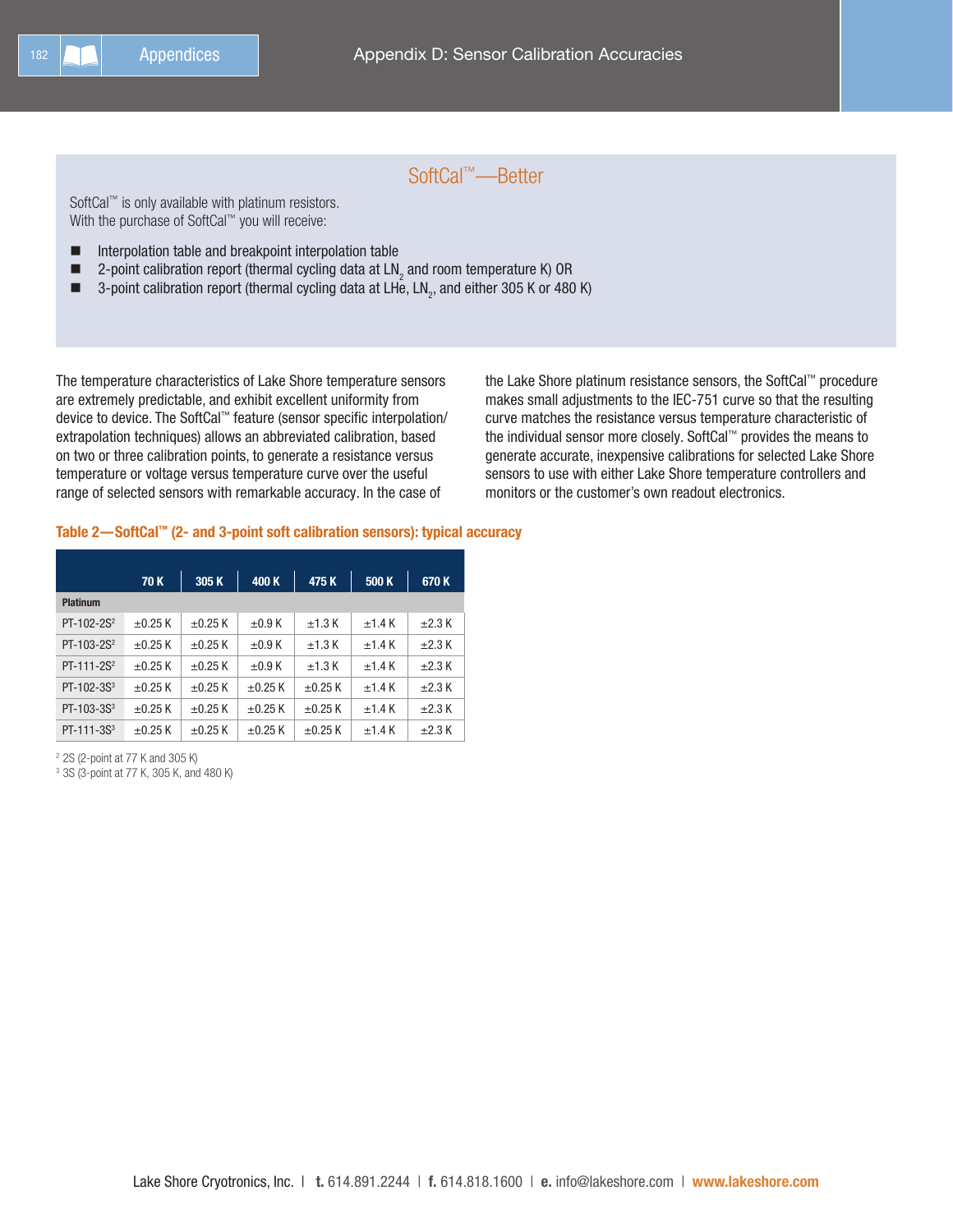# SoftCal™—Better

SoftCal™ is only available with platinum resistors. With the purchase of SoftCal™ you will receive:

- Interpolation table and breakpoint interpolation table
- $\blacksquare$  2-point calibration report (thermal cycling data at LN<sub>2</sub> and room temperature K) OR
- $\blacksquare$  3-point calibration report (thermal cycling data at LHe, LN<sub>2</sub>, and either 305 K or 480 K)

The temperature characteristics of Lake Shore temperature sensors are extremely predictable, and exhibit excellent uniformity from device to device. The SoftCal™ feature (sensor specific interpolation/ extrapolation techniques) allows an abbreviated calibration, based on two or three calibration points, to generate a resistance versus temperature or voltage versus temperature curve over the useful range of selected sensors with remarkable accuracy. In the case of

the Lake Shore platinum resistance sensors, the SoftCal™ procedure makes small adjustments to the IEC-751 curve so that the resulting curve matches the resistance versus temperature characteristic of the individual sensor more closely. SoftCal™ provides the means to generate accurate, inexpensive calibrations for selected Lake Shore sensors to use with either Lake Shore temperature controllers and monitors or the customer's own readout electronics.

#### Table 2—SoftCal™ (2- and 3-point soft calibration sensors): typical accuracy

|                        | 70 K         | 305K         | 400K         | 475K         | 500 K    | 670K        |
|------------------------|--------------|--------------|--------------|--------------|----------|-------------|
| <b>Platinum</b>        |              |              |              |              |          |             |
| $PT-102-2S^2$          | $\pm 0.25$ K | $\pm 0.25$ K | $\pm 0.9$ K  | $±1.3$ K     | ±1.4K    | $\pm 2.3$ K |
| PT-103-2S <sup>2</sup> | $\pm 0.25$ K | $\pm 0.25$ K | $\pm 0.9$ K  | $±1.3$ K     | ±1.4K    | $\pm 2.3$ K |
| $PT-111-2S^2$          | $\pm 0.25$ K | $\pm 0.25$ K | $\pm 0.9$ K  | $±1.3$ K     | $+1.4 K$ | $\pm 2.3$ K |
| $PT-102-3S3$           | $\pm 0.25$ K | $\pm 0.25$ K | $\pm 0.25$ K | $\pm 0.25$ K | ±1.4K    | $\pm 2.3$ K |
| PT-103-3S <sup>3</sup> | $\pm 0.25$ K | $\pm$ 0.25 K | $\pm$ 0.25 K | $\pm 0.25$ K | ±1.4K    | $\pm 2.3$ K |
| $PT-111-3S3$           | $\pm 0.25$ K | $\pm$ 0.25 K | $\pm 0.25$ K | $\pm 0.25$ K | $+1.4 K$ | $\pm 2.3$ K |

<sup>2</sup> 2S (2-point at 77 K and 305 K)

<sup>3</sup> 3S (3-point at 77 K, 305 K, and 480 K)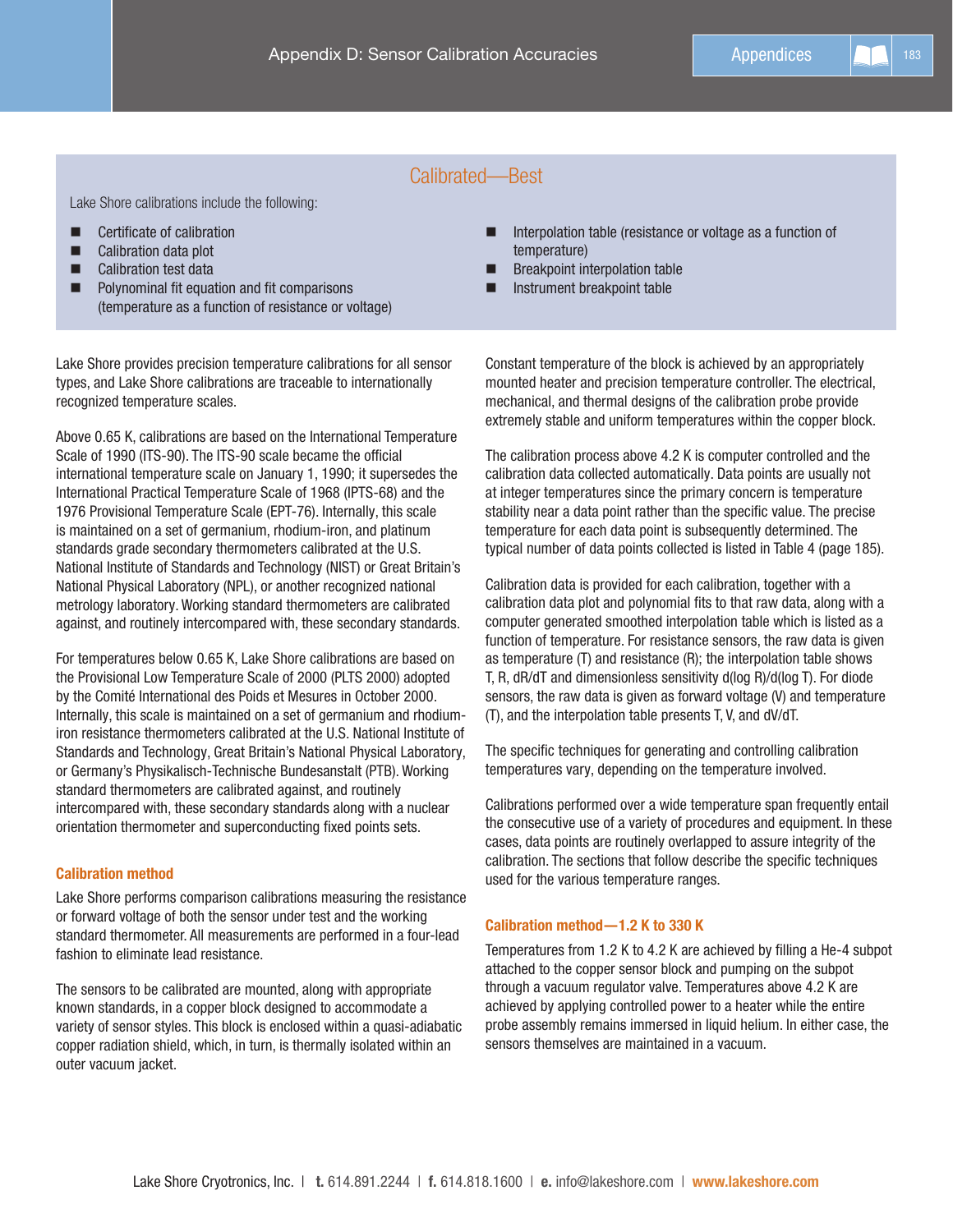# Calibrated—Best

Lake Shore calibrations include the following:

- Certificate of calibration
- Calibration data plot
- Calibration test data
- **Polynominal fit equation and fit comparisons** (temperature as a function of resistance or voltage)

Lake Shore provides precision temperature calibrations for all sensor types, and Lake Shore calibrations are traceable to internationally recognized temperature scales.

Above 0.65 K, calibrations are based on the International Temperature Scale of 1990 (ITS-90). The ITS-90 scale became the official international temperature scale on January 1, 1990; it supersedes the International Practical Temperature Scale of 1968 (IPTS-68) and the 1976 Provisional Temperature Scale (EPT-76). Internally, this scale is maintained on a set of germanium, rhodium-iron, and platinum standards grade secondary thermometers calibrated at the U.S. National Institute of Standards and Technology (NIST) or Great Britain's National Physical Laboratory (NPL), or another recognized national metrology laboratory. Working standard thermometers are calibrated against, and routinely intercompared with, these secondary standards.

For temperatures below 0.65 K, Lake Shore calibrations are based on the Provisional Low Temperature Scale of 2000 (PLTS 2000) adopted by the Comité International des Poids et Mesures in October 2000. Internally, this scale is maintained on a set of germanium and rhodiumiron resistance thermometers calibrated at the U.S. National Institute of Standards and Technology, Great Britain's National Physical Laboratory, or Germany's Physikalisch-Technische Bundesanstalt (PTB). Working standard thermometers are calibrated against, and routinely intercompared with, these secondary standards along with a nuclear orientation thermometer and superconducting fixed points sets.

#### Calibration method

Lake Shore performs comparison calibrations measuring the resistance or forward voltage of both the sensor under test and the working standard thermometer. All measurements are performed in a four-lead fashion to eliminate lead resistance.

The sensors to be calibrated are mounted, along with appropriate known standards, in a copper block designed to accommodate a variety of sensor styles. This block is enclosed within a quasi-adiabatic copper radiation shield, which, in turn, is thermally isolated within an outer vacuum jacket.

- Interpolation table (resistance or voltage as a function of temperature)
- **Breakpoint interpolation table**
- Instrument breakpoint table

Constant temperature of the block is achieved by an appropriately mounted heater and precision temperature controller. The electrical, mechanical, and thermal designs of the calibration probe provide extremely stable and uniform temperatures within the copper block.

The calibration process above 4.2 K is computer controlled and the calibration data collected automatically. Data points are usually not at integer temperatures since the primary concern is temperature stability near a data point rather than the specific value. The precise temperature for each data point is subsequently determined. The typical number of data points collected is listed in Table 4 (page 185).

Calibration data is provided for each calibration, together with a calibration data plot and polynomial fits to that raw data, along with a computer generated smoothed interpolation table which is listed as a function of temperature. For resistance sensors, the raw data is given as temperature (T) and resistance (R); the interpolation table shows T, R, dR/dT and dimensionless sensitivity d(log R)/d(log T). For diode sensors, the raw data is given as forward voltage (V) and temperature (T), and the interpolation table presents T, V, and dV/dT.

The specific techniques for generating and controlling calibration temperatures vary, depending on the temperature involved.

Calibrations performed over a wide temperature span frequently entail the consecutive use of a variety of procedures and equipment. In these cases, data points are routinely overlapped to assure integrity of the calibration. The sections that follow describe the specific techniques used for the various temperature ranges.

#### Calibration method—1.2 K to 330 K

Temperatures from 1.2 K to 4.2 K are achieved by filling a He-4 subpot attached to the copper sensor block and pumping on the subpot through a vacuum regulator valve. Temperatures above 4.2 K are achieved by applying controlled power to a heater while the entire probe assembly remains immersed in liquid helium. In either case, the sensors themselves are maintained in a vacuum.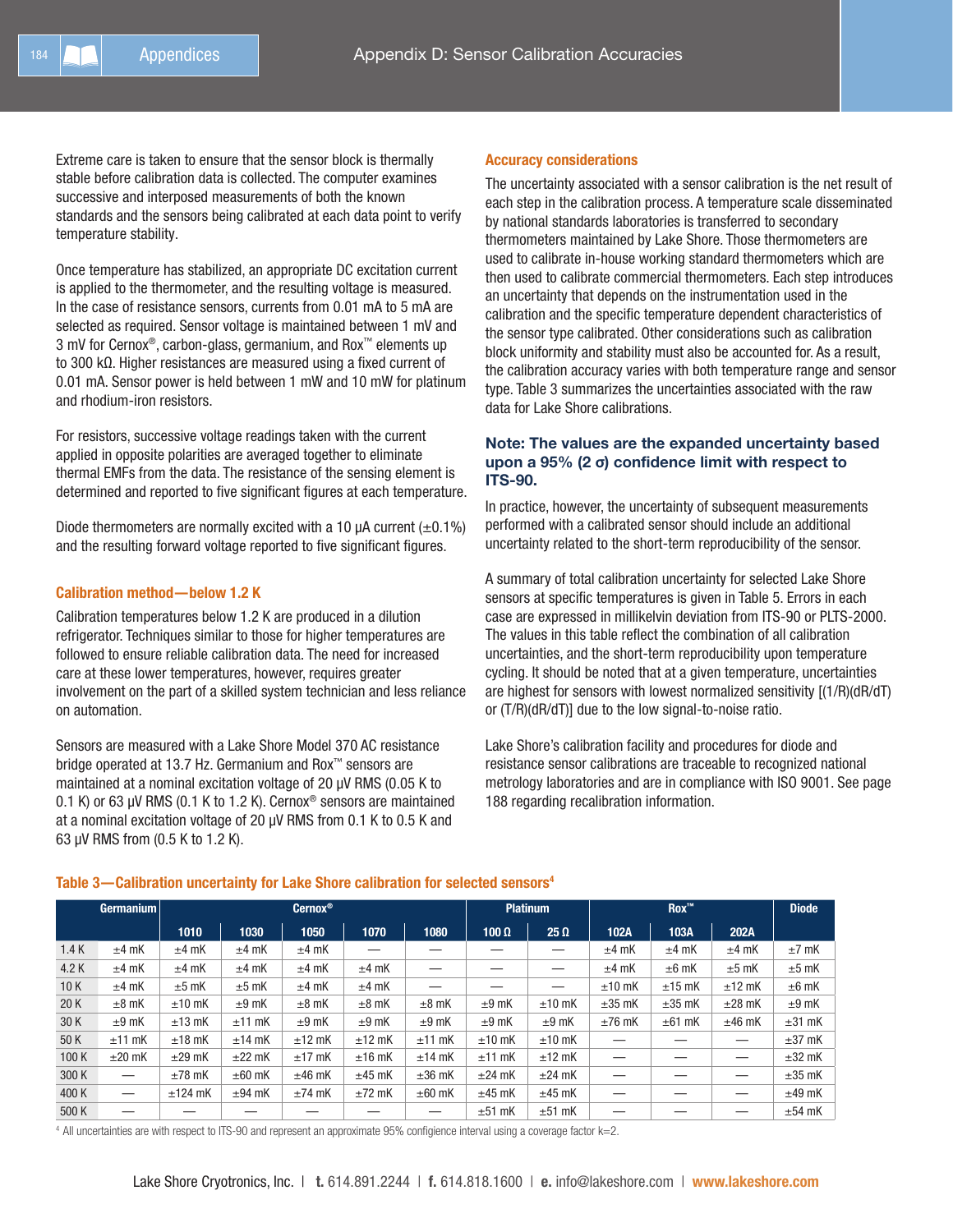Extreme care is taken to ensure that the sensor block is thermally stable before calibration data is collected. The computer examines successive and interposed measurements of both the known standards and the sensors being calibrated at each data point to verify temperature stability.

Once temperature has stabilized, an appropriate DC excitation current is applied to the thermometer, and the resulting voltage is measured. In the case of resistance sensors, currents from 0.01 mA to 5 mA are selected as required. Sensor voltage is maintained between 1 mV and 3 mV for Cernox®, carbon-glass, germanium, and Rox™ elements up to 300 kΩ. Higher resistances are measured using a fixed current of 0.01 mA. Sensor power is held between 1 mW and 10 mW for platinum and rhodium-iron resistors.

For resistors, successive voltage readings taken with the current applied in opposite polarities are averaged together to eliminate thermal EMFs from the data. The resistance of the sensing element is determined and reported to five significant figures at each temperature.

Diode thermometers are normally excited with a 10  $\mu$ A current ( $\pm$ 0.1%) and the resulting forward voltage reported to five significant figures.

#### Calibration method—below 1.2 K

Calibration temperatures below 1.2 K are produced in a dilution refrigerator. Techniques similar to those for higher temperatures are followed to ensure reliable calibration data. The need for increased care at these lower temperatures, however, requires greater involvement on the part of a skilled system technician and less reliance on automation.

Sensors are measured with a Lake Shore Model 370 AC resistance bridge operated at 13.7 Hz. Germanium and Rox™ sensors are maintained at a nominal excitation voltage of 20 µV RMS (0.05 K to 0.1 K) or 63 µV RMS (0.1 K to 1.2 K). Cernox® sensors are maintained at a nominal excitation voltage of 20 µV RMS from 0.1 K to 0.5 K and 63 µV RMS from (0.5 K to 1.2 K).

#### Accuracy considerations

The uncertainty associated with a sensor calibration is the net result of each step in the calibration process. A temperature scale disseminated by national standards laboratories is transferred to secondary thermometers maintained by Lake Shore. Those thermometers are used to calibrate in-house working standard thermometers which are then used to calibrate commercial thermometers. Each step introduces an uncertainty that depends on the instrumentation used in the calibration and the specific temperature dependent characteristics of the sensor type calibrated. Other considerations such as calibration block uniformity and stability must also be accounted for. As a result, the calibration accuracy varies with both temperature range and sensor type. Table 3 summarizes the uncertainties associated with the raw data for Lake Shore calibrations.

#### Note: The values are the expanded uncertainty based upon a 95% (2 σ) confidence limit with respect to ITS-90.

In practice, however, the uncertainty of subsequent measurements performed with a calibrated sensor should include an additional uncertainty related to the short-term reproducibility of the sensor.

A summary of total calibration uncertainty for selected Lake Shore sensors at specific temperatures is given in Table 5. Errors in each case are expressed in millikelvin deviation from ITS-90 or PLTS-2000. The values in this table reflect the combination of all calibration uncertainties, and the short-term reproducibility upon temperature cycling. It should be noted that at a given temperature, uncertainties are highest for sensors with lowest normalized sensitivity [(1/R)(dR/dT) or (T/R)(dR/dT)] due to the low signal-to-noise ratio.

Lake Shore's calibration facility and procedures for diode and resistance sensor calibrations are traceable to recognized national metrology laboratories and are in compliance with ISO 9001. See page 188 regarding recalibration information.

|       | Germanium   |             |             | Cernox <sup>®</sup> |             |             |              | <b>Platinum</b> |             | <b>Diode</b> |             |             |
|-------|-------------|-------------|-------------|---------------------|-------------|-------------|--------------|-----------------|-------------|--------------|-------------|-------------|
|       |             | 1010        | 1030        | 1050                | 1070        | 1080        | $100 \Omega$ | $25 \Omega$     | 102A        | 103A         | 202A        |             |
| 1.4K  | $±4$ mK     | $±4$ mK     | $±4$ mK     | $±4$ mK             |             |             |              |                 | $±4$ mK     | $±4$ mK      | $±4$ mK     | $±7$ mK     |
| 4.2 K | $±4$ mK     | $±4$ mK     | $±4$ mK     | $±4$ mK             | $±4$ mK     |             |              | –               | $±4$ mK     | $±6$ mK      | $±5$ mK     | $±5$ mK     |
| 10K   | $±4$ mK     | $±5$ mK     | $±5$ mK     | $±4$ mK             | $±4$ mK     |             |              | –               | $±10$ mK    | $±15$ mK     | $±12$ mK    | $±6$ mK     |
| 20K   | $±8$ mK     | $±10$ mK    | $±9$ mK     | $\pm 8$ mK          | $±8$ mK     | $\pm 8$ mK  | $±9$ mK      | $±10$ mK        | $\pm 35$ mK | $\pm 35$ mK  | $\pm 28$ mK | $±9$ mK     |
| 30K   | $±9$ mK     | $±13$ mK    | $±11$ mK    | $±9$ mK             | $±9$ mK     | $±9$ mK     | $±9$ mK      | $±9$ mK         | $±76$ mK    | $\pm$ 61 mK  | $±46$ mK    | $\pm 31$ mK |
| 50 K  | $±11$ mK    | $±18$ mK    | $±14$ mK    | $±12$ mK            | $±12$ mK    | $±11$ mK    | $±10$ mK     | $±10$ mK        | –           |              |             | $\pm 37$ mK |
| 100 K | $\pm 20$ mK | $\pm 29$ mK | $\pm 22$ mK | $±17$ mK            | $±16$ mK    | $±14$ mK    | $±11$ mK     | $±12$ mK        | –           |              | –           | $\pm 32$ mK |
| 300 K |             | $\pm 78$ mK | $\pm 60$ mK | $±46$ mK            | $±45$ mK    | $\pm 36$ mK | $\pm$ 24 mK  | $\pm$ 24 mK     | –           |              |             | $\pm 35$ mK |
| 400 K |             | $±124$ mK   | $±94$ mK    | $\pm 74$ mK         | $\pm 72$ mK | $\pm 60$ mK | $±45$ mK     | $±45$ mK        | _           |              |             | $±49$ mK    |
| 500 K |             |             |             |                     |             |             | $±51$ mK     | $±51$ mK        |             |              |             | $±54$ mK    |

#### Table 3-Calibration uncertainty for Lake Shore calibration for selected sensors<sup>4</sup>

<sup>4</sup> All uncertainties are with respect to ITS-90 and represent an approximate 95% configience interval using a coverage factor k=2.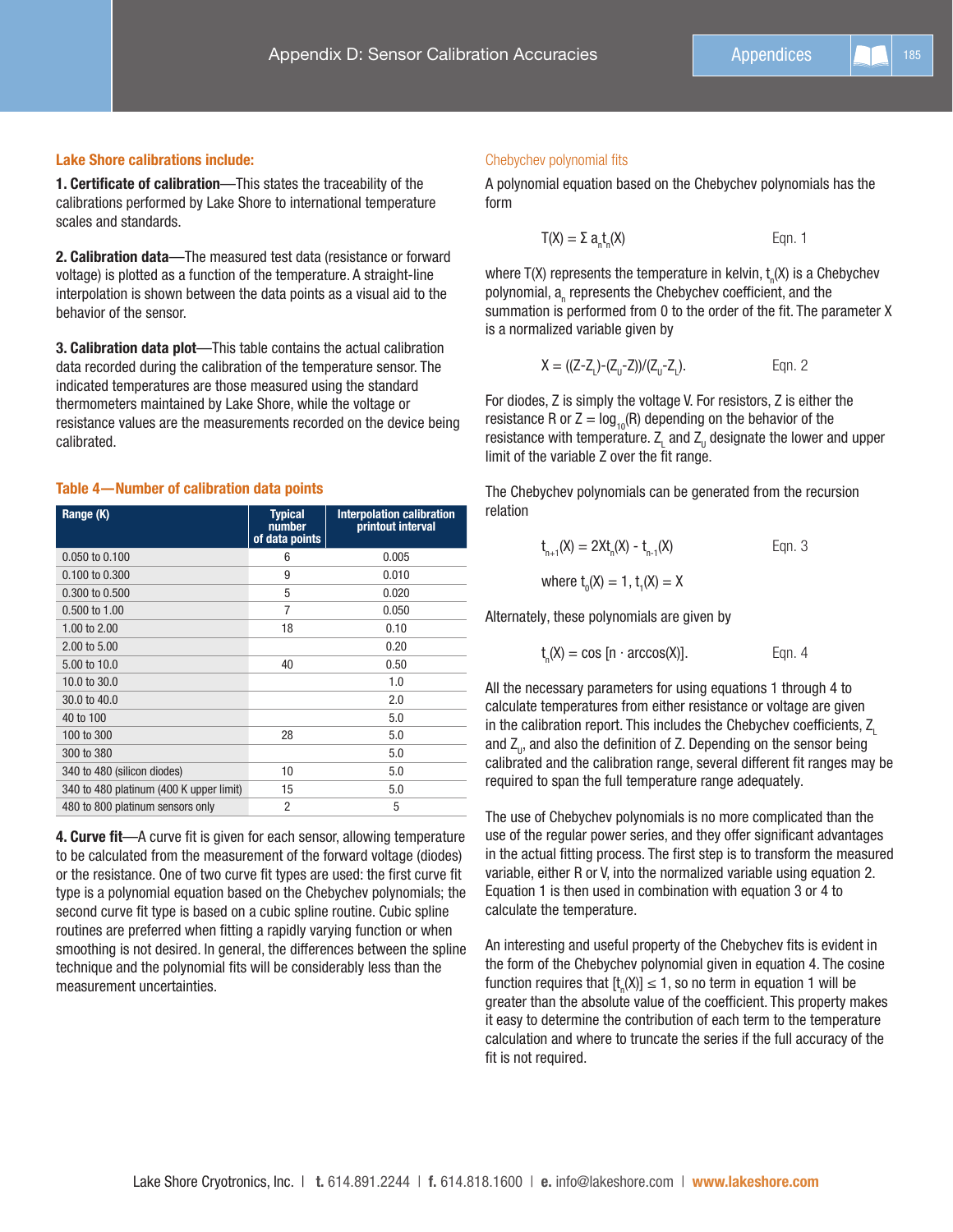#### Lake Shore calibrations include:

1. Certificate of calibration—This states the traceability of the calibrations performed by Lake Shore to international temperature scales and standards.

2. Calibration data—The measured test data (resistance or forward voltage) is plotted as a function of the temperature. A straight-line interpolation is shown between the data points as a visual aid to the behavior of the sensor.

3. Calibration data plot—This table contains the actual calibration data recorded during the calibration of the temperature sensor. The indicated temperatures are those measured using the standard thermometers maintained by Lake Shore, while the voltage or resistance values are the measurements recorded on the device being calibrated.

#### Table 4—Number of calibration data points

| Range (K)                               | <b>Typical</b><br>number<br>of data points | <b>Interpolation calibration</b><br>printout interval |
|-----------------------------------------|--------------------------------------------|-------------------------------------------------------|
| 0.050 to 0.100                          | 6                                          | 0.005                                                 |
| 0.100 to 0.300                          | 9                                          | 0.010                                                 |
| 0.300 to 0.500                          | 5                                          | 0.020                                                 |
| $0.500 \text{ to } 1.00$                | 7                                          | 0.050                                                 |
| 1.00 to $2.00$                          | 18                                         | 0.10                                                  |
| 2.00 to 5.00                            |                                            | 0.20                                                  |
| 5.00 to 10.0                            | 40                                         | 0.50                                                  |
| 10.0 to 30.0                            |                                            | 1.0                                                   |
| 30.0 to 40.0                            |                                            | 2.0                                                   |
| 40 to 100                               |                                            | 5.0                                                   |
| 100 to 300                              | 28                                         | 5.0                                                   |
| 300 to 380                              |                                            | 5.0                                                   |
| 340 to 480 (silicon diodes)             | 10                                         | 5.0                                                   |
| 340 to 480 platinum (400 K upper limit) | 15                                         | 5.0                                                   |
| 480 to 800 platinum sensors only        | $\overline{2}$                             | 5                                                     |

4. Curve fit—A curve fit is given for each sensor, allowing temperature to be calculated from the measurement of the forward voltage (diodes) or the resistance. One of two curve fit types are used: the first curve fit type is a polynomial equation based on the Chebychev polynomials; the second curve fit type is based on a cubic spline routine. Cubic spline routines are preferred when fitting a rapidly varying function or when smoothing is not desired. In general, the differences between the spline technique and the polynomial fits will be considerably less than the measurement uncertainties.

#### Chebychev polynomial fits

A polynomial equation based on the Chebychev polynomials has the form

$$
T(X) = \Sigma a_n t_n(X)
$$
 Eqn. 1

where T(X) represents the temperature in kelvin,  $t_{\scriptscriptstyle \rm n}$ (X) is a Chebychev polynomial,  $\mathsf{a}_{_\mathsf{h}}$  represents the Chebychev coefficient, and the summation is performed from 0 to the order of the fit. The parameter X is a normalized variable given by

$$
X = ((Z-ZL)-(ZU-Z))/(ZU-ZL).
$$
 Eqn. 2

For diodes, Z is simply the voltage V. For resistors, Z is either the resistance R or  $Z = log_{10}(R)$  depending on the behavior of the resistance with temperature.  $\mathsf{Z}_\mathsf{L}$  and  $\mathsf{Z}_\mathsf{U}$  designate the lower and upper limit of the variable Z over the fit range.

The Chebychev polynomials can be generated from the recursion relation

$$
t_{n+1}(X) = 2Xt_n(X) - t_{n-1}(X)
$$
 Eqn. 3

where  $t_{0}$ (X) = 1,  $t_{1}$ (X) = X

Alternately, these polynomials are given by

$$
t_n(X) = \cos [n \cdot \arccos(X)].
$$
 Eqn. 4

All the necessary parameters for using equations 1 through 4 to calculate temperatures from either resistance or voltage are given in the calibration report. This includes the Chebychev coefficients, Z. and  $Z_{\shortparallel}$ , and also the definition of Z. Depending on the sensor being calibrated and the calibration range, several different fit ranges may be required to span the full temperature range adequately.

The use of Chebychev polynomials is no more complicated than the use of the regular power series, and they offer significant advantages in the actual fitting process. The first step is to transform the measured variable, either R or V, into the normalized variable using equation 2. Equation 1 is then used in combination with equation 3 or 4 to calculate the temperature.

An interesting and useful property of the Chebychev fits is evident in the form of the Chebychev polynomial given in equation 4. The cosine function requires that  $[t_n(X)] \leq 1$ , so no term in equation 1 will be greater than the absolute value of the coefficient. This property makes it easy to determine the contribution of each term to the temperature calculation and where to truncate the series if the full accuracy of the fit is not required.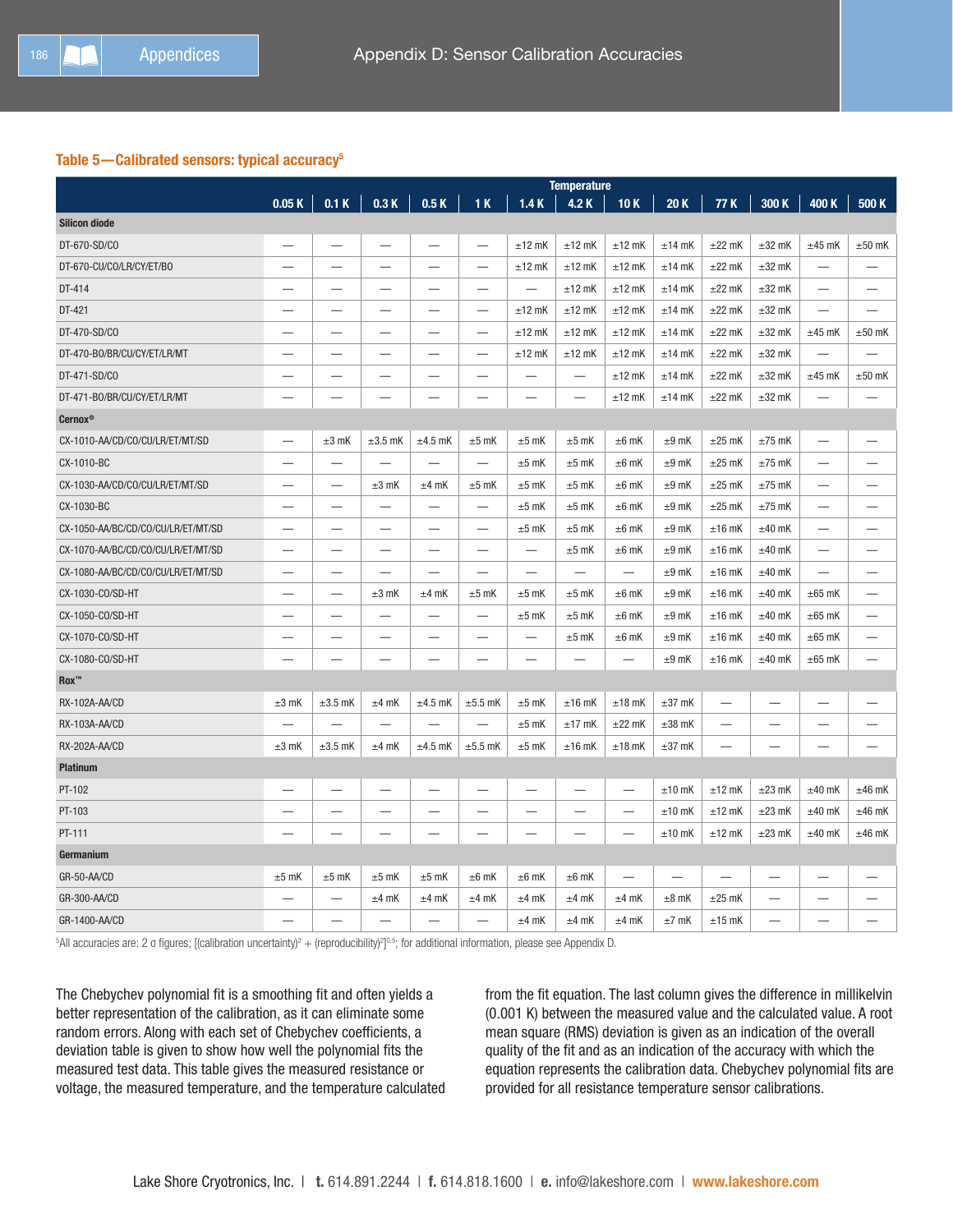#### Table 5-Calibrated sensors: typical accuracy<sup>5</sup>

|                                    |            |                          |                          |                          |                                                                                                                                                                                                                                |                          | <b>Temperature</b>       |                          |                          |                          |                          |                          |                          |
|------------------------------------|------------|--------------------------|--------------------------|--------------------------|--------------------------------------------------------------------------------------------------------------------------------------------------------------------------------------------------------------------------------|--------------------------|--------------------------|--------------------------|--------------------------|--------------------------|--------------------------|--------------------------|--------------------------|
|                                    | 0.05K      |                          | $0.1 K \ 0.3 K$          | 0.5 K                    | $-1K$                                                                                                                                                                                                                          | 1.4K                     | 4.2K                     | 10K                      | 20K                      | 77 K                     | 300 K                    | 400 K                    | 500 K                    |
| <b>Silicon diode</b>               |            |                          |                          |                          |                                                                                                                                                                                                                                |                          |                          |                          |                          |                          |                          |                          |                          |
| DT-670-SD/CO                       |            |                          |                          |                          | $\overline{\phantom{0}}$                                                                                                                                                                                                       | $±12$ mK                 | $±12$ mK                 | $±12$ mK                 | $±14$ mK                 | $±22$ mK                 | $±32$ mK                 | $±45$ mK                 | $±50$ mK                 |
| DT-670-CU/CO/LR/CY/ET/BO           |            |                          |                          |                          |                                                                                                                                                                                                                                | $±12$ mK                 | $±12$ mK                 | $±12$ mK                 | $±14$ mK                 | $±22$ mK                 | $\pm 32$ mK              |                          |                          |
| DT-414                             |            |                          | $\overline{\phantom{0}}$ | $\qquad \qquad$          | -                                                                                                                                                                                                                              |                          | $±12$ mK                 | $±12$ mK                 | $±14$ mK                 | $±22$ mK                 | $±32$ mK                 | $\qquad \qquad -$        | —                        |
| DT-421                             |            |                          |                          |                          | -                                                                                                                                                                                                                              | $±12$ mK                 | $±12$ mK                 | $±12$ mK                 | $±14$ mK                 | $±22$ mK                 | $\pm 32$ mK              | —                        |                          |
| DT-470-SD/CO                       |            | ÷.                       |                          |                          | $\overline{\phantom{0}}$                                                                                                                                                                                                       | $±12$ mK                 | $±12$ mK                 | $±12$ mK                 | $±14$ mK                 | $±22$ mK                 | $\pm 32$ mK              | $±45$ mK                 | $±50$ mK                 |
| DT-470-BO/BR/CU/CY/ET/LR/MT        |            |                          |                          | $\overline{\phantom{0}}$ |                                                                                                                                                                                                                                | $±12$ mK                 | $±12$ mK                 | $±12$ mK                 | $±14$ mK                 | $±22$ mK                 | $±32$ mK                 |                          |                          |
| DT-471-SD/CO                       |            |                          |                          |                          |                                                                                                                                                                                                                                |                          |                          | $±12$ mK                 | $±14$ mK                 | $±22$ mK                 | $\pm 32$ mK              | $±45$ mK                 | $±50$ mK                 |
| DT-471-BO/BR/CU/CY/ET/LR/MT        |            |                          |                          |                          |                                                                                                                                                                                                                                |                          | $\overline{\phantom{0}}$ | $±12$ mK                 | $±14$ mK                 | $±22$ mK                 | $\pm 32$ mK              |                          |                          |
| <b>Cernox®</b>                     |            |                          |                          |                          |                                                                                                                                                                                                                                |                          |                          |                          |                          |                          |                          |                          |                          |
| CX-1010-AA/CD/CO/CU/LR/ET/MT/SD    |            | $±3$ mK                  | $\pm 3.5$ mK             | $±4.5$ mK                | $±5$ mK                                                                                                                                                                                                                        | $±5$ mK                  | $±5$ mK                  | $±6$ mK                  | $±9$ mK                  | $±25$ mK                 | $±75$ mK                 | $\overline{\phantom{0}}$ |                          |
| CX-1010-BC                         |            | $\mathcal{L}$            | $\overline{\phantom{0}}$ |                          | $\overline{\phantom{0}}$                                                                                                                                                                                                       | $±5$ mK                  | $±5$ mK                  | $±6$ mK                  | $±9$ mK                  | $±25$ mK                 | $±75$ mK                 | $\overline{\phantom{0}}$ |                          |
| CX-1030-AA/CD/C0/CU/LR/ET/MT/SD    |            |                          | $±3$ mK                  | $±4$ mK                  | $±5$ mK                                                                                                                                                                                                                        | $±5$ mK                  | $±5$ mK                  | $±6$ mK                  | $±9$ mK                  | $±25$ mK                 | $±75$ mK                 |                          |                          |
| CX-1030-BC                         |            |                          |                          |                          |                                                                                                                                                                                                                                | $±5$ mK                  | $±5$ mK                  | $±6$ mK                  | $±9$ mK                  | $\pm 25$ mK              | $±75$ mK                 | $\overline{\phantom{0}}$ |                          |
| CX-1050-AA/BC/CD/CO/CU/LR/ET/MT/SD |            |                          |                          |                          | $\overline{\phantom{a}}$                                                                                                                                                                                                       | $±5$ mK                  | $±5$ mK                  | $±6$ mK                  | $±9$ mK                  | $±16$ mK                 | $±40$ mK                 |                          |                          |
| CX-1070-AA/BC/CD/CO/CU/LR/ET/MT/SD |            |                          |                          |                          | -                                                                                                                                                                                                                              | $\overline{\phantom{0}}$ | $±5$ mK                  | $±6$ mK                  | $±9$ mK                  | $±16$ mK                 | $±40$ mK                 | $\overline{\phantom{0}}$ |                          |
| CX-1080-AA/BC/CD/CO/CU/LR/ET/MT/SD |            |                          |                          | $\overline{\phantom{0}}$ | $\overline{\phantom{0}}$                                                                                                                                                                                                       |                          |                          |                          | $±9$ mK                  | $±16$ mK                 | $±40$ mK                 | $\overline{\phantom{0}}$ |                          |
| CX-1030-CO/SD-HT                   |            | $\overline{\phantom{0}}$ | $\pm 3$ mK               | $±4$ mK                  | $±5$ mK                                                                                                                                                                                                                        | $±5$ mK                  | $±5$ mK                  | $\pm 6$ mK               | $±9$ mK                  | $±16$ mK                 | $±40$ mK                 | $\pm 65$ mK              | $\overline{\phantom{0}}$ |
| CX-1050-CO/SD-HT                   |            |                          |                          |                          | $\overline{\phantom{0}}$                                                                                                                                                                                                       | $±5$ mK                  | $±5$ mK                  | $±6$ mK                  | $±9$ mK                  | $±16$ mK                 | $±40$ mK                 | $\pm 65$ mK              | $\overline{\phantom{0}}$ |
| CX-1070-CO/SD-HT                   |            |                          |                          |                          |                                                                                                                                                                                                                                | $\overline{\phantom{0}}$ | $±5$ mK                  | $±6$ mK                  | $±9$ mK                  | $±16$ mK                 | $±40$ mK                 | $\pm 65$ mK              |                          |
| CX-1080-CO/SD-HT                   |            |                          |                          |                          | $\sim$                                                                                                                                                                                                                         | $\overline{\phantom{0}}$ |                          |                          | $±9$ mK                  | $±16$ mK                 | $±40$ mK                 | $\pm 65$ mK              | $\overline{\phantom{0}}$ |
| $Box^{\mathsf{m}}$                 |            |                          |                          |                          |                                                                                                                                                                                                                                |                          |                          |                          |                          |                          |                          |                          |                          |
| RX-102A-AA/CD                      | $\pm 3$ mK | $\pm 3.5$ mK             | $±4$ mK                  | $\pm 4.5$ mK             | $\pm 5.5$ mK                                                                                                                                                                                                                   | $±5$ mK                  | $±16$ mK                 | $±18$ mK                 | $\pm 37$ mK              |                          | —                        | $\overline{\phantom{0}}$ | $\qquad \qquad$          |
| RX-103A-AA/CD                      |            |                          |                          |                          | $\mathcal{L}$                                                                                                                                                                                                                  | $±5$ mK                  | $±17$ mK                 | $±22$ mK                 | $\pm 38$ mK              |                          | ÷.                       | $\overline{\phantom{0}}$ |                          |
| RX-202A-AA/CD                      | $\pm 3$ mK | $\pm 3.5$ mK             | $±4$ mK                  | $\pm 4.5$ mK             | $\pm 5.5$ mK                                                                                                                                                                                                                   | $±5$ mK                  | $±16$ mK                 | $±18$ mK                 | $±37$ mK                 |                          |                          | $\overline{\phantom{0}}$ |                          |
| <b>Platinum</b>                    |            |                          |                          |                          |                                                                                                                                                                                                                                |                          |                          |                          |                          |                          |                          |                          |                          |
| PT-102                             |            |                          |                          |                          | and the contract of the contract of the contract of the contract of the contract of the contract of the contract of the contract of the contract of the contract of the contract of the contract of the contract of the contra | $\overline{\phantom{0}}$ |                          |                          | $±10$ mK                 | $±12$ mK                 | $\pm 23$ mK              | $±40$ mK                 | $±46$ mK                 |
| PT-103                             |            |                          |                          |                          | ÷                                                                                                                                                                                                                              |                          |                          |                          | $±10$ mK                 | $±12$ mK                 | $\pm 23$ mK              | $±40$ mK                 | $±46$ mK                 |
| PT-111                             |            |                          |                          |                          | -                                                                                                                                                                                                                              |                          |                          | $\overline{\phantom{0}}$ | $±10$ mK                 | $±12$ mK                 | $\pm 23$ mK              | $±40$ mK                 | $±46$ mK                 |
| Germanium                          |            |                          |                          |                          |                                                                                                                                                                                                                                |                          |                          |                          |                          |                          |                          |                          |                          |
| GR-50-AA/CD                        | $±5$ mK    | $±5$ mK                  | $±5$ mK                  | $±5$ mK                  | $±6$ mK                                                                                                                                                                                                                        | $\pm 6$ mK               | $±6$ mK                  |                          | $\overline{\phantom{0}}$ | $\overline{\phantom{0}}$ | $\overline{\phantom{0}}$ |                          |                          |
| GR-300-AA/CD                       |            |                          | $±4$ mK                  | $±4$ mK                  | $±4$ mK                                                                                                                                                                                                                        | $±4$ mK                  | $±4$ mK                  | $±4$ mK                  | $\pm 8$ mK               | $±25$ mK                 | $\overline{\phantom{0}}$ | —                        |                          |
| GR-1400-AA/CD                      |            | $\overline{\phantom{0}}$ |                          |                          | $\overline{\phantom{0}}$                                                                                                                                                                                                       | $±4$ mK                  | $±4$ mK                  | $±4$ mK                  | $±7$ mK                  | $±15$ mK                 |                          | $\overline{\phantom{0}}$ |                          |

 $5$ All accuracies are: 2 o figures; [(calibration uncertainty)<sup>2</sup> + (reproducibility)<sup>2</sup>]<sup>0.5</sup>; for additional information, please see Appendix D.

The Chebychev polynomial fit is a smoothing fit and often yields a better representation of the calibration, as it can eliminate some random errors. Along with each set of Chebychev coefficients, a deviation table is given to show how well the polynomial fits the measured test data. This table gives the measured resistance or voltage, the measured temperature, and the temperature calculated from the fit equation. The last column gives the difference in millikelvin (0.001 K) between the measured value and the calculated value. A root mean square (RMS) deviation is given as an indication of the overall quality of the fit and as an indication of the accuracy with which the equation represents the calibration data. Chebychev polynomial fits are provided for all resistance temperature sensor calibrations.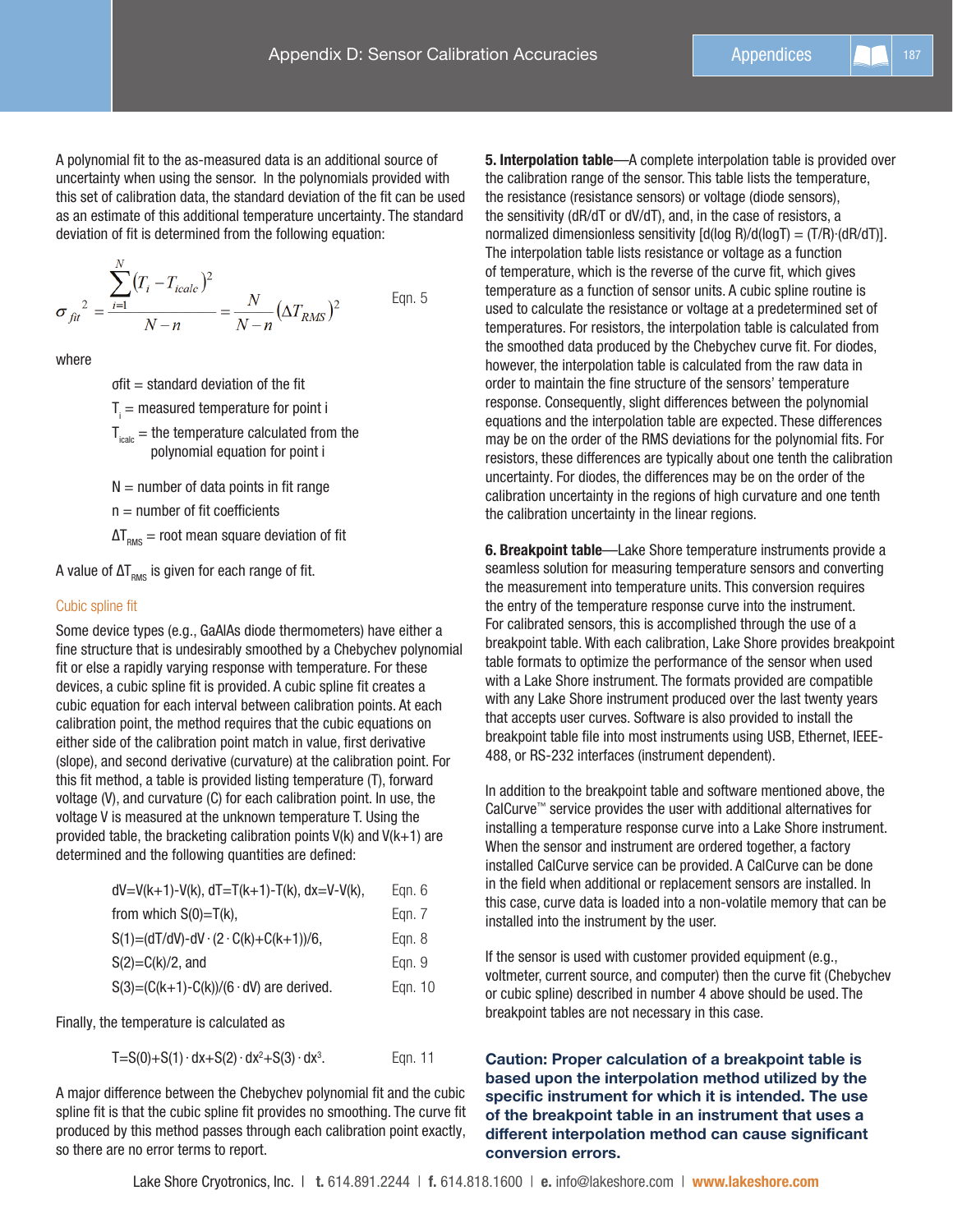A polynomial fit to the as-measured data is an additional source of uncertainty when using the sensor. In the polynomials provided with this set of calibration data, the standard deviation of the fit can be used as an estimate of this additional temperature uncertainty. The standard deviation of fit is determined from the following equation:

$$
\sigma_{fit}^2 = \frac{\sum_{i=1}^{N} (T_i - T_{icalc})^2}{N - n} = \frac{N}{N - n} (\Delta T_{RMS})^2
$$
 Eqn. 5

where

σfit = standard deviation of the fit

 ${\sf T}_{\sf i}$  = measured temperature for point i

 $T_{\text{icalc}}$  = the temperature calculated from the polynomial equation for point i

 $N =$  number of data points in fit range

 $n =$  number of fit coefficients

 $\Delta T_{RMS}$  = root mean square deviation of fit

A value of  $\Delta T_{\text{RMS}}$  is given for each range of fit.

#### Cubic spline fit

Some device types (e.g., GaAlAs diode thermometers) have either a fine structure that is undesirably smoothed by a Chebychev polynomial fit or else a rapidly varying response with temperature. For these devices, a cubic spline fit is provided. A cubic spline fit creates a cubic equation for each interval between calibration points. At each calibration point, the method requires that the cubic equations on either side of the calibration point match in value, first derivative (slope), and second derivative (curvature) at the calibration point. For this fit method, a table is provided listing temperature (T), forward voltage (V), and curvature (C) for each calibration point. In use, the voltage V is measured at the unknown temperature T. Using the provided table, the bracketing calibration points  $V(k)$  and  $V(k+1)$  are determined and the following quantities are defined:

| $dV=V(k+1)-V(k), dT=T(k+1)-T(k), dx=V-V(k),$            | Eqn. $6$ |
|---------------------------------------------------------|----------|
| from which $S(0)=T(k)$ ,                                | Egn. 7   |
| $S(1) = (dT/dV) - dV \cdot (2 \cdot C(k) + C(k+1))/6$ , | Egn. 8   |
| $S(2)=C(k)/2$ , and                                     | Egn. 9   |
| $S(3)=(C(k+1)-C(k))/(6 \cdot dV)$ are derived.          | Egn. 10  |
|                                                         |          |

Finally, the temperature is calculated as

 $T = S(0) + S(1) \cdot dx + S(2) \cdot dx^2 + S(3) \cdot dx^3$ . Eqn. 11

A major difference between the Chebychev polynomial fit and the cubic spline fit is that the cubic spline fit provides no smoothing. The curve fit produced by this method passes through each calibration point exactly, so there are no error terms to report.

5. Interpolation table—A complete interpolation table is provided over the calibration range of the sensor. This table lists the temperature, the resistance (resistance sensors) or voltage (diode sensors), the sensitivity (dR/dT or dV/dT), and, in the case of resistors, a normalized dimensionless sensitivity  $\left[\frac{d(\log R)}{d(\log T)}\right] = \left(\frac{T}{R}\right) \cdot \left(\frac{dR}{dT}\right)\right].$ The interpolation table lists resistance or voltage as a function of temperature, which is the reverse of the curve fit, which gives temperature as a function of sensor units. A cubic spline routine is used to calculate the resistance or voltage at a predetermined set of temperatures. For resistors, the interpolation table is calculated from the smoothed data produced by the Chebychev curve fit. For diodes, however, the interpolation table is calculated from the raw data in order to maintain the fine structure of the sensors' temperature response. Consequently, slight differences between the polynomial equations and the interpolation table are expected. These differences may be on the order of the RMS deviations for the polynomial fits. For resistors, these differences are typically about one tenth the calibration uncertainty. For diodes, the differences may be on the order of the calibration uncertainty in the regions of high curvature and one tenth the calibration uncertainty in the linear regions.

6. Breakpoint table—Lake Shore temperature instruments provide a seamless solution for measuring temperature sensors and converting the measurement into temperature units. This conversion requires the entry of the temperature response curve into the instrument. For calibrated sensors, this is accomplished through the use of a breakpoint table. With each calibration, Lake Shore provides breakpoint table formats to optimize the performance of the sensor when used with a Lake Shore instrument. The formats provided are compatible with any Lake Shore instrument produced over the last twenty years that accepts user curves. Software is also provided to install the breakpoint table file into most instruments using USB, Ethernet, IEEE-488, or RS-232 interfaces (instrument dependent).

In addition to the breakpoint table and software mentioned above, the CalCurve™ service provides the user with additional alternatives for installing a temperature response curve into a Lake Shore instrument. When the sensor and instrument are ordered together, a factory installed CalCurve service can be provided. A CalCurve can be done in the field when additional or replacement sensors are installed. In this case, curve data is loaded into a non-volatile memory that can be installed into the instrument by the user.

If the sensor is used with customer provided equipment (e.g., voltmeter, current source, and computer) then the curve fit (Chebychev or cubic spline) described in number 4 above should be used. The breakpoint tables are not necessary in this case.

Caution: Proper calculation of a breakpoint table is based upon the interpolation method utilized by the specific instrument for which it is intended. The use of the breakpoint table in an instrument that uses a different interpolation method can cause significant conversion errors.